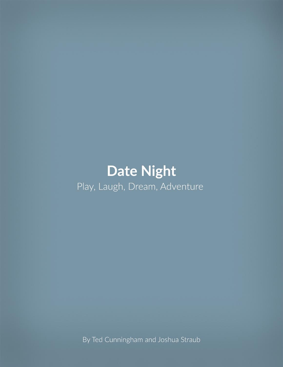# **Date Night** Play, Laugh, Dream, Adventure

By Ted Cunningham and Joshua Straub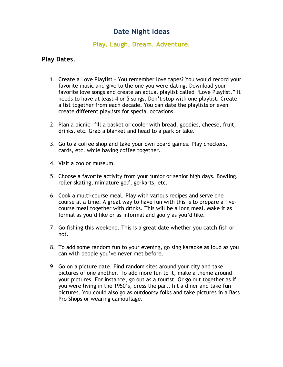# **Date Night Ideas**

#### **Play. Laugh. Dream. Adventure.**

#### **Play Dates.**

- 1. Create a Love Playlist You remember love tapes? You would record your favorite music and give to the one you were dating. Download your favorite love songs and create an actual playlist called "Love Playlist." It needs to have at least 4 or 5 songs. Don't stop with one playlist. Create a list together from each decade. You can date the playlists or even create different playlists for special occasions.
- 2. Plan a picnic—fill a basket or cooler with bread, goodies, cheese, fruit, drinks, etc. Grab a blanket and head to a park or lake.
- 3. Go to a coffee shop and take your own board games. Play checkers, cards, etc. while having coffee together.
- 4. Visit a zoo or museum.
- 5. Choose a favorite activity from your junior or senior high days. Bowling, roller skating, miniature golf, go-karts, etc.
- 6. Cook a multi-course meal. Play with various recipes and serve one course at a time. A great way to have fun with this is to prepare a fivecourse meal together with drinks. This will be a long meal. Make it as formal as you'd like or as informal and goofy as you'd like.
- 7. Go fishing this weekend. This is a great date whether you catch fish or not.
- 8. To add some random fun to your evening, go sing karaoke as loud as you can with people you've never met before.
- 9. Go on a picture date. Find random sites around your city and take pictures of one another. To add more fun to it, make a theme around your pictures. For instance, go out as a tourist. Or go out together as if you were living in the 1950's, dress the part, hit a diner and take fun pictures. You could also go as outdoorsy folks and take pictures in a Bass Pro Shops or wearing camouflage.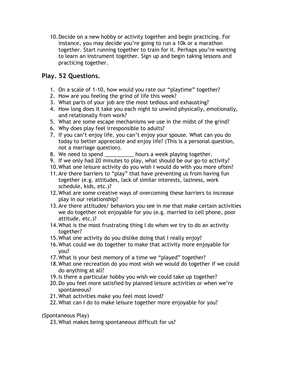10.Decide on a new hobby or activity together and begin practicing. For instance, you may decide you're going to run a 10k or a marathon together. Start running together to train for it. Perhaps you're wanting to learn an instrument together. Sign up and begin taking lessons and practicing together.

# **Play. 52 Questions.**

- 1. On a scale of 1-10, how would you rate our "playtime" together?
- 2. How are you feeling the grind of life this week?
- 3. What parts of your job are the most tedious and exhausting?
- 4. How long does it take you each night to unwind physically, emotionally, and relationally from work?
- 5. What are some escape mechanisms we use in the midst of the grind?
- 6. Why does play feel irresponsible to adults?
- 7. If you can't enjoy life, you can't enjoy your spouse. What can you do today to better appreciate and enjoy life? (This is a personal question, not a marriage question).
- 8. We need to spend \_\_\_\_\_\_\_\_\_\_\_ hours a week playing together.
- 9. If we only had 20 minutes to play, what should be our go-to activity?
- 10.What one leisure activity do you wish I would do with you more often?
- 11.Are there barriers to "play" that have preventing us from having fun together (e.g. attitudes, lack of similar interests, laziness, work schedule, kids, etc.)?
- 12.What are some creative ways of overcoming these barriers to increase play in our relationship?
- 13.Are there attitudes/ behaviors you see in me that make certain activities we do together not enjoyable for you (e.g. married to cell phone, poor attitude, etc.)?
- 14.What is the most frustrating thing I do when we try to do an activity together?
- 15.What one activity do you dislike doing that I really enjoy?
- 16.What could we do together to make that activity more enjoyable for you?
- 17.What is your best memory of a time we "played" together?
- 18.What one recreation do you most wish we would do together if we could do anything at all?
- 19.Is there a particular hobby you wish we could take up together?
- 20.Do you feel more satisfied by planned leisure activities or when we're spontaneous?
- 21.What activities make you feel most loved?
- 22.What can I do to make leisure together more enjoyable for you?

(Spontaneous Play)

23.What makes being spontaneous difficult for us?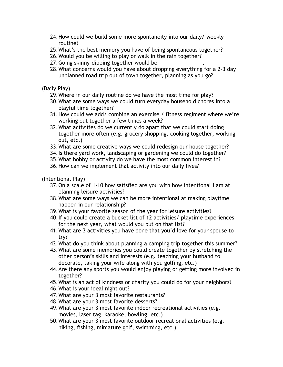- 24.How could we build some more spontaneity into our daily/ weekly routine?
- 25.What's the best memory you have of being spontaneous together?
- 26.Would you be willing to play or walk in the rain together?
- 27.Going skinny-dipping together would be \_\_\_\_\_\_\_\_\_\_\_\_\_\_\_.
- 28.What concerns would you have about dropping everything for a 2-3 day unplanned road trip out of town together, planning as you go?

(Daily Play)

- 29.Where in our daily routine do we have the most time for play?
- 30.What are some ways we could turn everyday household chores into a playful time together?
- 31.How could we add/ combine an exercise / fitness regiment where we're working out together a few times a week?
- 32.What activities do we currently do apart that we could start doing together more often (e.g. grocery shopping, cooking together, working out, etc.)
- 33.What are some creative ways we could redesign our house together?
- 34.Is there yard work, landscaping or gardening we could do together?
- 35.What hobby or activity do we have the most common interest in?
- 36.How can we implement that activity into our daily lives?

(Intentional Play)

- 37.On a scale of 1-10 how satisfied are you with how intentional I am at planning leisure activities?
- 38.What are some ways we can be more intentional at making playtime happen in our relationship?
- 39.What is your favorite season of the year for leisure activities?
- 40.If you could create a bucket list of 12 activities/ playtime experiences for the next year, what would you put on that list?
- 41.What are 3 activities you have done that you'd love for your spouse to try?
- 42.What do you think about planning a camping trip together this summer?
- 43.What are some memories you could create together by stretching the other person's skills and interests (e.g. teaching your husband to decorate, taking your wife along with you golfing, etc.)
- 44.Are there any sports you would enjoy playing or getting more involved in together?
- 45.What is an act of kindness or charity you could do for your neighbors?
- 46.What is your ideal night out?
- 47.What are your 3 most favorite restaurants?
- 48.What are your 3 most favorite desserts?
- 49.What are your 3 most favorite indoor recreational activities (e.g. movies, laser tag, karaoke, bowling, etc.)
- 50.What are your 3 most favorite outdoor recreational activities (e.g. hiking, fishing, miniature golf, swimming, etc.)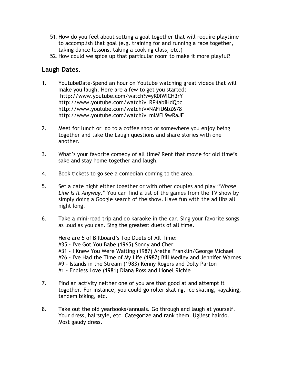- 51.How do you feel about setting a goal together that will require playtime to accomplish that goal (e.g. training for and running a race together, taking dance lessons, taking a cooking class, etc.)
- 52.How could we spice up that particular room to make it more playful?

## **Laugh Dates.**

- 1. YoutubeDate-Spend an hour on Youtube watching great videos that will make you laugh. Here are a few to get you started: http://www.youtube.com/watch?v=yR0lWICH3rY http://www.youtube.com/watch?v=RP4abiHdQpc http://www.youtube.com/watch?v=NAFiU6bZ678 http://www.youtube.com/watch?v=mIMFL9wRaJE
- 2. Meet for lunch or go to a coffee shop or somewhere you enjoy being together and take the Laugh questions and share stories with one another.
- 3. What's your favorite comedy of all time? Rent that movie for old time's sake and stay home together and laugh.
- 4. Book tickets to go see a comedian coming to the area.
- 5. Set a date night either together or with other couples and play "*Whose Line Is It Anyway*." You can find a list of the games from the TV show by simply doing a Google search of the show. Have fun with the ad libs all night long.
- 6. Take a mini-road trip and do karaoke in the car. Sing your favorite songs as loud as you can. Sing the greatest duets of all time.

Here are 5 of Billboard's Top Duets of All Time: #35 - I've Got You Babe (1965) Sonny and Cher #31 - I Knew You Were Waiting (1987) Aretha Franklin/George Michael #26 - I've Had the Time of My Life (1987) Bill Medley and Jennifer Warnes #9 - Islands in the Stream (1983) Kenny Rogers and Dolly Parton #1 - Endless Love (1981) Diana Ross and Lionel Richie

- 7. Find an activity neither one of you are that good at and attempt it together. For instance, you could go roller skating, ice skating, kayaking, tandem biking, etc.
- 8. Take out the old yearbooks/annuals. Go through and laugh at yourself. Your dress, hairstyle, etc. Categorize and rank them. Ugliest hairdo. Most gaudy dress.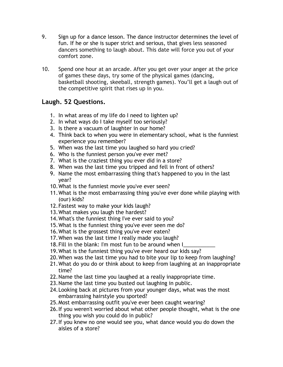- 9. Sign up for a dance lesson. The dance instructor determines the level of fun. If he or she is super strict and serious, that gives less seasoned dancers something to laugh about. This date will force you out of your comfort zone.
- 10. Spend one hour at an arcade. After you get over your anger at the price of games these days, try some of the physical games (dancing, basketball shooting, skeeball, strength games). You'll get a laugh out of the competitive spirit that rises up in you.

# **Laugh. 52 Questions.**

- 1. In what areas of my life do I need to lighten up?
- 2. In what ways do I take myself too seriously?
- 3. Is there a vacuum of laughter in our home?
- 4. Think back to when you were in elementary school, what is the funniest experience you remember?
- 5. When was the last time you laughed so hard you cried?
- 6. Who is the funniest person you've ever met?
- 7. What is the craziest thing you ever did in a store?
- 8. When was the last time you tripped and fell in front of others?
- 9. Name the most embarrassing thing that's happened to you in the last year?
- 10.What is the funniest movie you've ever seen?
- 11.What is the most embarrassing thing you've ever done while playing with (our) kids?
- 12.Fastest way to make your kids laugh?
- 13.What makes you laugh the hardest?
- 14.What's the funniest thing I've ever said to you?
- 15.What is the funniest thing you've ever seen me do?
- 16.What is the grossest thing you've ever eaten?
- 17.When was the last time I really made you laugh?
- 18. Fill in the blank: I'm most fun to be around when I
- 19.What is the funniest thing you've ever heard our kids say?
- 20.When was the last time you had to bite your lip to keep from laughing?
- 21.What do you do or think about to keep from laughing at an inappropriate time?
- 22.Name the last time you laughed at a really inappropriate time.
- 23.Name the last time you busted out laughing in public.
- 24.Looking back at pictures from your younger days, what was the most embarrassing hairstyle you sported?
- 25.Most embarrassing outfit you've ever been caught wearing?
- 26.If you weren't worried about what other people thought, what is the one thing you wish you could do in public?
- 27.If you knew no one would see you, what dance would you do down the aisles of a store?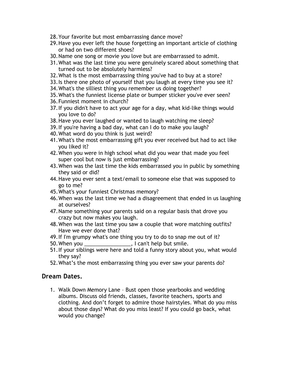- 28.Your favorite but most embarrassing dance move?
- 29.Have you ever left the house forgetting an important article of clothing or had on two different shoes?
- 30.Name one song or movie you love but are embarrassed to admit.
- 31.What was the last time you were genuinely scared about something that turned out to be absolutely harmless?
- 32.What is the most embarrassing thing you've had to buy at a store?
- 33.Is there one photo of yourself that you laugh at every time you see it?
- 34.What's the silliest thing you remember us doing together?
- 35.What's the funniest license plate or bumper sticker you've ever seen?
- 36.Funniest moment in church?
- 37.If you didn't have to act your age for a day, what kid-like things would you love to do?
- 38.Have you ever laughed or wanted to laugh watching me sleep?
- 39.If you're having a bad day, what can I do to make you laugh?
- 40.What word do you think is just weird?
- 41.What's the most embarrassing gift you ever received but had to act like you liked it?
- 42.When you were in high school what did you wear that made you feel super cool but now is just embarrassing?
- 43.When was the last time the kids embarrassed you in public by something they said or did?
- 44.Have you ever sent a text/email to someone else that was supposed to go to me?
- 45.What's your funniest Christmas memory?
- 46.When was the last time we had a disagreement that ended in us laughing at ourselves?
- 47.Name something your parents said on a regular basis that drove you crazy but now makes you laugh.
- 48.When was the last time you saw a couple that wore matching outfits? Have we ever done that?
- 49.If I'm grumpy what's one thing you try to do to snap me out of it?
- 50.When you \_\_\_\_\_\_\_\_\_\_\_\_\_\_\_\_, I can't help but smile.
- 51.If your siblings were here and told a funny story about you, what would they say?
- 52.What's the most embarrassing thing you ever saw your parents do?

#### **Dream Dates.**

1. Walk Down Memory Lane – Bust open those yearbooks and wedding albums. Discuss old friends, classes, favorite teachers, sports and clothing. And don't forget to admire those hairstyles. What do you miss about those days? What do you miss least? If you could go back, what would you change?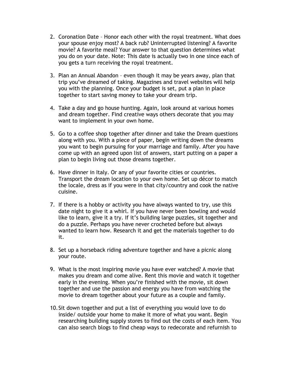- 2. Coronation Date Honor each other with the royal treatment. What does your spouse enjoy most? A back rub? Uninterrupted listening? A favorite movie? A favorite meal? Your answer to that question determines what you do on your date. Note: This date is actually two in one since each of you gets a turn receiving the royal treatment.
- 3. Plan an Annual Abandon even though it may be years away, plan that trip you've dreamed of taking. Magazines and travel websites will help you with the planning. Once your budget is set, put a plan in place together to start saving money to take your dream trip.
- 4. Take a day and go house hunting. Again, look around at various homes and dream together. Find creative ways others decorate that you may want to implement in your own home.
- 5. Go to a coffee shop together after dinner and take the Dream questions along with you. With a piece of paper, begin writing down the dreams you want to begin pursuing for your marriage and family. After you have come up with an agreed upon list of answers, start putting on a paper a plan to begin living out those dreams together.
- 6. Have dinner in Italy. Or any of your favorite cities or countries. Transport the dream location to your own home. Set up décor to match the locale, dress as if you were in that city/country and cook the native cuisine.
- 7. If there is a hobby or activity you have always wanted to try, use this date night to give it a whirl. If you have never been bowling and would like to learn, give it a try. If it's building large puzzles, sit together and do a puzzle. Perhaps you have never crocheted before but always wanted to learn how. Research it and get the materials together to do it.
- 8. Set up a horseback riding adventure together and have a picnic along your route.
- 9. What is the most inspiring movie you have ever watched? A movie that makes you dream and come alive. Rent this movie and watch it together early in the evening. When you're finished with the movie, sit down together and use the passion and energy you have from watching the movie to dream together about your future as a couple and family.
- 10.Sit down together and put a list of everything you would love to do inside/ outside your home to make it more of what you want. Begin researching building supply stores to find out the costs of each item. You can also search blogs to find cheap ways to redecorate and refurnish to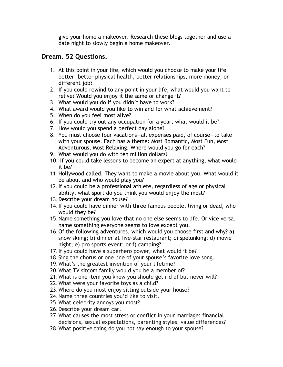give your home a makeover. Research these blogs together and use a date night to slowly begin a home makeover.

#### **Dream. 52 Questions.**

- 1. At this point in your life, which would you choose to make your life better: better physical health, better relationships, more money, or different job?
- 2. If you could rewind to any point in your life, what would you want to relive? Would you enjoy it the same or change it?
- 3. What would you do if you didn't have to work?
- 4. What award would you like to win and for what achievement?
- 5. When do you feel most alive?
- 6. If you could try out any occupation for a year, what would it be?
- 7. How would you spend a perfect day alone?
- 8. You must choose four vacations—all expenses paid, of course—to take with your spouse. Each has a theme: Most Romantic, Most Fun, Most Adventurous, Most Relaxing. Where would you go for each?
- 9. What would you do with ten million dollars?
- 10. If you could take lessons to become an expert at anything, what would it be?
- 11.Hollywood called. They want to make a movie about you. What would it be about and who would play you?
- 12.If you could be a professional athlete, regardless of age or physical ability, what sport do you think you would enjoy the most?
- 13.Describe your dream house?
- 14.If you could have dinner with three famous people, living or dead, who would they be?
- 15.Name something you love that no one else seems to life. Or vice versa, name something everyone seems to love except you.
- 16.Of the following adventures, which would you choose first and why? a) snow skiing; b) dinner at five-star restaurant; c) spelunking; d) movie night; e) pro sports event; or f) camping?
- 17.If you could have a superhero power, what would it be?
- 18.Sing the chorus or one line of your spouse's favorite love song.
- 19.What's the greatest invention of your lifetime?
- 20.What TV sitcom family would you be a member of?
- 21.What is one item you know you should get rid of but never will?
- 22.What were your favorite toys as a child?
- 23.Where do you most enjoy sitting outside your house?
- 24.Name three countries you'd like to visit.
- 25.What celebrity annoys you most?
- 26.Describe your dream car.
- 27.What causes the most stress or conflict in your marriage: financial decisions, sexual expectations, parenting styles, value differences?
- 28.What positive thing do you not say enough to your spouse?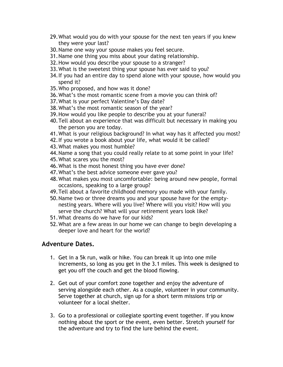- 29.What would you do with your spouse for the next ten years if you knew they were your last?
- 30.Name one way your spouse makes you feel secure.
- 31.Name one thing you miss about your dating relationship.
- 32.How would you describe your spouse to a stranger?
- 33.What is the sweetest thing your spouse has ever said to you?
- 34.If you had an entire day to spend alone with your spouse, how would you spend it?
- 35.Who proposed, and how was it done?
- 36.What's the most romantic scene from a movie you can think of?
- 37.What is your perfect Valentine's Day date?
- 38.What's the most romantic season of the year?
- 39.How would you like people to describe you at your funeral?
- 40.Tell about an experience that was difficult but necessary in making you the person you are today.
- 41.What is your religious background? In what way has it affected you most?
- 42.If you wrote a book about your life, what would it be called?
- 43.What makes you most humble?
- 44.Name a song that you could really relate to at some point in your life?
- 45.What scares you the most?
- 46.What is the most honest thing you have ever done?
- 47.What's the best advice someone ever gave you?
- 48.What makes you most uncomfortable: being around new people, formal occasions, speaking to a large group?
- 49.Tell about a favorite childhood memory you made with your family.
- 50.Name two or three dreams you and your spouse have for the emptynesting years. Where will you live? Where will you visit? How will you serve the church? What will your retirement years look like?
- 51.What dreams do we have for our kids?
- 52.What are a few areas in our home we can change to begin developing a deeper love and heart for the world?

### **Adventure Dates.**

- 1. Get in a 5k run, walk or hike. You can break it up into one mile increments, so long as you get in the 3.1 miles. This week is designed to get you off the couch and get the blood flowing.
- 2. Get out of your comfort zone together and enjoy the adventure of serving alongside each other. As a couple, volunteer in your community. Serve together at church, sign up for a short term missions trip or volunteer for a local shelter.
- 3. Go to a professional or collegiate sporting event together. If you know nothing about the sport or the event, even better. Stretch yourself for the adventure and try to find the lure behind the event.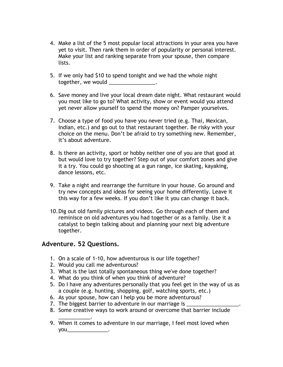- 4. Make a list of the 5 most popular local attractions in your area you have yet to visit. Then rank them in order of popularity or personal interest. Make your list and ranking separate from your spouse, then compare lists.
- 5. If we only had \$10 to spend tonight and we had the whole night together, we would \_\_\_\_\_\_\_\_\_\_\_\_\_\_\_\_.
- 6. Save money and live your local dream date night. What restaurant would you most like to go to? What activity, show or event would you attend yet never allow yourself to spend the money on? Pamper yourselves.
- 7. Choose a type of food you have you never tried (e.g. Thai, Mexican, Indian, etc.) and go out to that restaurant together. Be risky with your choice on the menu. Don't be afraid to try something new. Remember, it's about adventure.
- 8. Is there an activity, sport or hobby neither one of you are that good at but would love to try together? Step out of your comfort zones and give it a try. You could go shooting at a gun range, ice skating, kayaking, dance lessons, etc.
- 9. Take a night and rearrange the furniture in your house. Go around and try new concepts and ideas for seeing your home differently. Leave it this way for a few weeks. If you don't like it you can change it back.
- 10.Dig out old family pictures and videos. Go through each of them and reminisce on old adventures you had together or as a family. Use it a catalyst to begin talking about and planning your next big adventure together.

### **Adventure. 52 Questions.**

- 1. On a scale of 1-10, how adventurous is our life together?
- 2. Would you call me adventurous?
- 3. What is the last totally spontaneous thing we've done together?
- 4. What do you think of when you think of adventure?
- 5. Do I have any adventures personally that you feel get in the way of us as a couple (e.g. hunting, shopping, golf, watching sports, etc.)
- 6. As your spouse, how can I help you be more adventurous?
- 7. The biggest barrier to adventure in our marriage is
- 8. Some creative ways to work around or overcome that barrier include
- \_\_\_\_\_\_\_\_\_\_\_. 9. When it comes to adventure in our marriage, I feel most loved when you\_\_\_\_\_\_\_\_\_\_\_\_\_\_.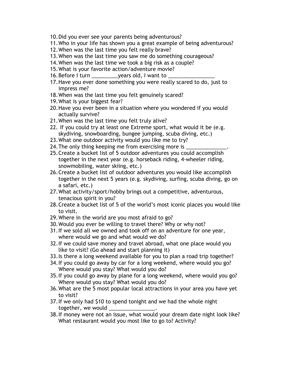- 10.Did you ever see your parents being adventurous?
- 11.Who in your life has shown you a great example of being adventurous?
- 12.When was the last time you felt really brave?
- 13.When was the last time you saw me do something courageous?
- 14.When was the last time we took a big risk as a couple?
- 15.What is your favorite action/adventure movie?
- 16. Before I turn \_\_\_\_\_\_\_\_\_\_\_\_years old, I want to \_
- 17.Have you ever done something you were really scared to do, just to impress me?
- 18.When was the last time you felt genuinely scared?
- 19.What is your biggest fear?
- 20.Have you ever been in a situation where you wondered if you would actually survive?
- 21.When was the last time you felt truly alive?
- 22. If you could try at least one Extreme sport, what would it be (e.g. skydiving, snowboarding, bungee jumping, scuba diving, etc.)
- 23.What one outdoor activity would you like me to try?
- 24. The only thing keeping me from exercising more is  $\equiv$
- 25.Create a bucket list of 5 outdoor adventures you could accomplish together in the next year (e.g. horseback riding, 4-wheeler riding, snowmobiling, water skiing, etc.)
- 26.Create a bucket list of outdoor adventures you would like accomplish together in the next 5 years (e.g. skydiving, surfing, scuba diving, go on a safari, etc.)
- 27.What activity/sport/hobby brings out a competitive, adventurous, tenacious spirit in you?
- 28.Create a bucket list of 5 of the world's most iconic places you would like to visit.
- 29.Where in the world are you most afraid to go?
- 30.Would you ever be willing to travel there? Why or why not?
- 31.If we sold all we owned and took off on an adventure for one year, where would we go and what would we do?
- 32.If we could save money and travel abroad, what one place would you like to visit? (Go ahead and start planning it)
- 33.Is there a long weekend available for you to plan a road trip together?
- 34.If you could go away by car for a long weekend, where would you go? Where would you stay? What would you do?
- 35.If you could go away by plane for a long weekend, where would you go? Where would you stay? What would you do?
- 36.What are the 5 most popular local attractions in your area you have yet to visit?
- 37.If we only had \$10 to spend tonight and we had the whole night together, we would
- 38.If money were not an issue, what would your dream date night look like? What restaurant would you most like to go to? Activity?